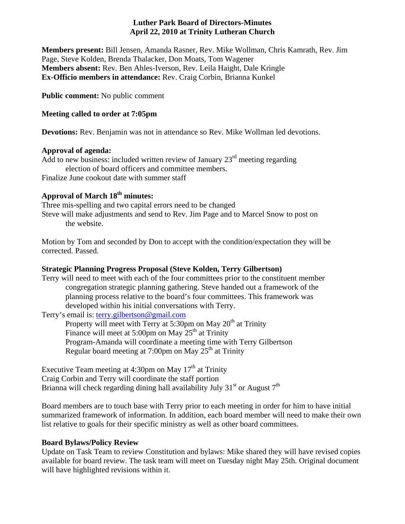## **Luther Park Board of Directors-Minutes April 22, 2010 at Trinity Lutheran Church**

**Members present:** Bill Jensen, Amanda Rasner, Rev. Mike Wollman, Chris Kamrath, Rev. Jim Page, Steve Kolden, Brenda Thalacker, Don Moats, Tom Wagener **Members absent:** Rev. Ben Ahles-Iverson, Rev. Leila Haight, Dale Kringle **Ex-Officio members in attendance:** Rev. Craig Corbin, Brianna Kunkel

**Public comment:** No public comment

# **Meeting called to order at 7:05pm**

**Devotions:** Rev. Benjamin was not in attendance so Rev. Mike Wollman led devotions.

# **Approval of agenda:**

Add to new business: included written review of January  $23<sup>rd</sup>$  meeting regarding election of board officers and committee members. Finalize June cookout date with summer staff

# **Approval of March 18th minutes:**

Three mis-spelling and two capital errors need to be changed Steve will make adjustments and send to Rev. Jim Page and to Marcel Snow to post on the website.

Motion by Tom and seconded by Don to accept with the condition/expectation they will be corrected. Passed.

# **Strategic Planning Progress Proposal (Steve Kolden, Terry Gilbertson)**

Terry will need to meet with each of the four committees prior to the constituent member congregation strategic planning gathering. Steve handed out a framework of the planning process relative to the board's four committees. This framework was developed within his initial conversations with Terry.

Terry's email is: [terry.gilbertson@gmail.com](mailto:terry.gilbertson@gmail.com) 

Property will meet with Terry at 5:30pm on May  $20<sup>th</sup>$  at Trinity Finance will meet at 5:00pm on May  $25<sup>th</sup>$  at Trinity Program-Amanda will coordinate a meeting time with Terry Gilbertson Regular board meeting at 7:00pm on May  $25<sup>th</sup>$  at Trinity

Executive Team meeting at 4:30pm on May  $17<sup>th</sup>$  at Trinity Craig Corbin and Terry will coordinate the staff portion Brianna will check regarding dining hall availability July  $31<sup>st</sup>$  or August  $7<sup>th</sup>$ 

Board members are to touch base with Terry prior to each meeting in order for him to have initial summarized framework of information. In addition, each board member will need to make their own list relative to goals for their specific ministry as well as other board committees.

# **Board Bylaws/Policy Review**

Update on Task Team to review Constitution and bylaws: Mike shared they will have revised copies available for board review. The task team will meet on Tuesday night May 25th. Original document will have highlighted revisions within it.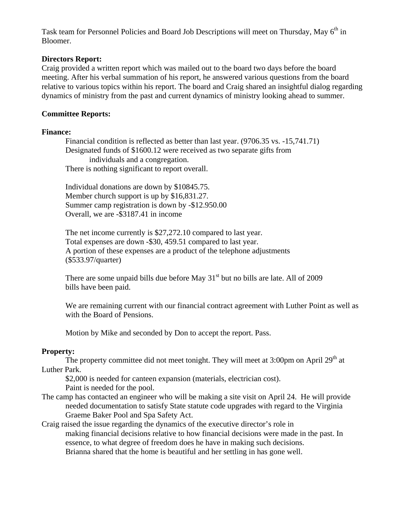Task team for Personnel Policies and Board Job Descriptions will meet on Thursday, May 6<sup>th</sup> in Bloomer.

#### **Directors Report:**

Craig provided a written report which was mailed out to the board two days before the board meeting. After his verbal summation of his report, he answered various questions from the board relative to various topics within his report. The board and Craig shared an insightful dialog regarding dynamics of ministry from the past and current dynamics of ministry looking ahead to summer.

#### **Committee Reports:**

#### **Finance:**

 Financial condition is reflected as better than last year. (9706.35 vs. -15,741.71) Designated funds of \$1600.12 were received as two separate gifts from individuals and a congregation. There is nothing significant to report overall.

 Individual donations are down by \$10845.75. Member church support is up by \$16,831.27. Summer camp registration is down by -\$12.950.00 Overall, we are -\$3187.41 in income

 The net income currently is \$27,272.10 compared to last year. Total expenses are down -\$30, 459.51 compared to last year. A portion of these expenses are a product of the telephone adjustments (\$533.97/quarter)

There are some unpaid bills due before May  $31<sup>st</sup>$  but no bills are late. All of 2009 bills have been paid.

We are remaining current with our financial contract agreement with Luther Point as well as with the Board of Pensions.

Motion by Mike and seconded by Don to accept the report. Pass.

#### **Property:**

The property committee did not meet tonight. They will meet at 3:00pm on April  $29<sup>th</sup>$  at Luther Park.

\$2,000 is needed for canteen expansion (materials, electrician cost).

- Paint is needed for the pool.
- The camp has contacted an engineer who will be making a site visit on April 24. He will provide needed documentation to satisfy State statute code upgrades with regard to the Virginia Graeme Baker Pool and Spa Safety Act.

Craig raised the issue regarding the dynamics of the executive director's role in making financial decisions relative to how financial decisions were made in the past. In essence, to what degree of freedom does he have in making such decisions. Brianna shared that the home is beautiful and her settling in has gone well.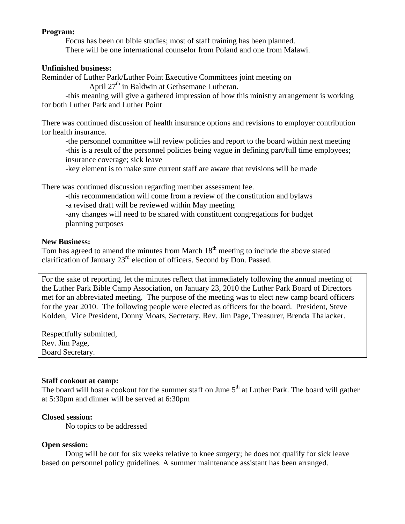### **Program:**

 Focus has been on bible studies; most of staff training has been planned. There will be one international counselor from Poland and one from Malawi.

### **Unfinished business:**

Reminder of Luther Park/Luther Point Executive Committees joint meeting on

April  $27<sup>th</sup>$  in Baldwin at Gethsemane Lutheran.

 -this meaning will give a gathered impression of how this ministry arrangement is working for both Luther Park and Luther Point

There was continued discussion of health insurance options and revisions to employer contribution for health insurance.

-the personnel committee will review policies and report to the board within next meeting -this is a result of the personnel policies being vague in defining part/full time employees; insurance coverage; sick leave

-key element is to make sure current staff are aware that revisions will be made

There was continued discussion regarding member assessment fee.

 -this recommendation will come from a review of the constitution and bylaws -a revised draft will be reviewed within May meeting -any changes will need to be shared with constituent congregations for budget

planning purposes

## **New Business:**

Tom has agreed to amend the minutes from March  $18<sup>th</sup>$  meeting to include the above stated clarification of January  $23<sup>rd</sup>$  election of officers. Second by Don. Passed.

For the sake of reporting, let the minutes reflect that immediately following the annual meeting of the Luther Park Bible Camp Association, on January 23, 2010 the Luther Park Board of Directors met for an abbreviated meeting. The purpose of the meeting was to elect new camp board officers for the year 2010. The following people were elected as officers for the board. President, Steve Kolden, Vice President, Donny Moats, Secretary, Rev. Jim Page, Treasurer, Brenda Thalacker.

Respectfully submitted, Rev. Jim Page, Board Secretary.

## **Staff cookout at camp:**

The board will host a cookout for the summer staff on June  $5<sup>th</sup>$  at Luther Park. The board will gather at 5:30pm and dinner will be served at 6:30pm

## **Closed session:**

No topics to be addressed

## **Open session:**

 Doug will be out for six weeks relative to knee surgery; he does not qualify for sick leave based on personnel policy guidelines. A summer maintenance assistant has been arranged.